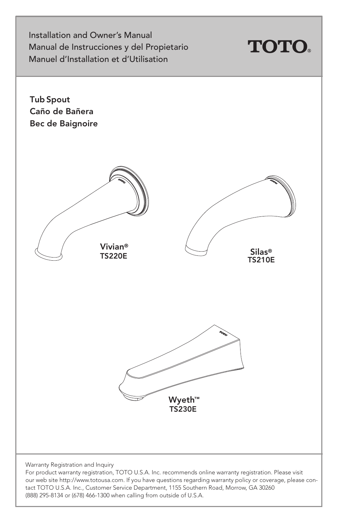Installation and Owner's Manual Manual de Instrucciones y del Propietario Manuel d'Installation et d'Utilisation



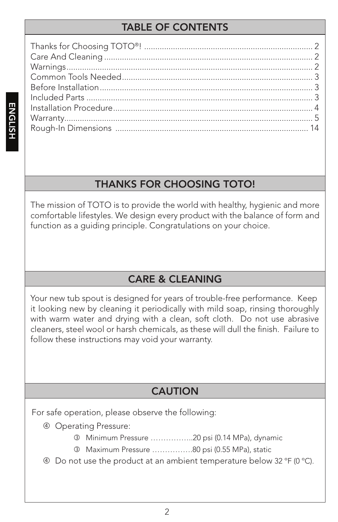# TABLE OF CONTENTS

# THANKS FOR CHOOSING TOTO!

The mission of TOTO is to provide the world with healthy, hygienic and more comfortable lifestyles. We design every product with the balance of form and function as a guiding principle. Congratulations on your choice.

# CARE & CLEANING

Your new tub spout is designed for years of trouble-free performance. Keep it looking new by cleaning it periodically with mild soap, rinsing thoroughly with warm water and drying with a clean, soft cloth. Do not use abrasive cleaners, steel wool or harsh chemicals, as these will dull the finish. Failure to follow these instructions may void your warranty.

## **CAUTION**

For safe operation, please observe the following:

- Operating Pressure:
	- Minimum Pressure ……………..20 psi (0.14 MPa), dynamic
	- Maximum Pressure …………….80 psi (0.55 MPa), static
- Do not use the product at an ambient temperature below 32 ºF (0 ºC).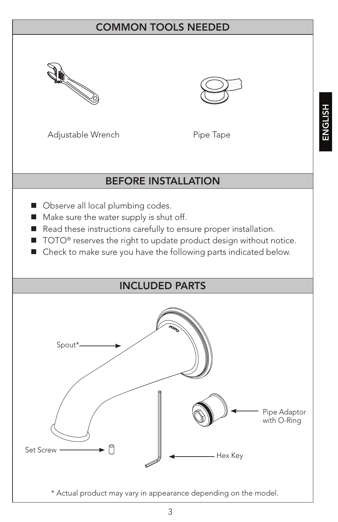## COMMON TOOLS NEEDED





Adjustable Wrench Pipe Tape

#### BEFORE INSTALLATION

- Observe all local plumbing codes.
- Make sure the water supply is shut off.
- Read these instructions carefully to ensure proper installation.
- TOTO<sup>®</sup> reserves the right to update product design without notice.
- Check to make sure you have the following parts indicated below.

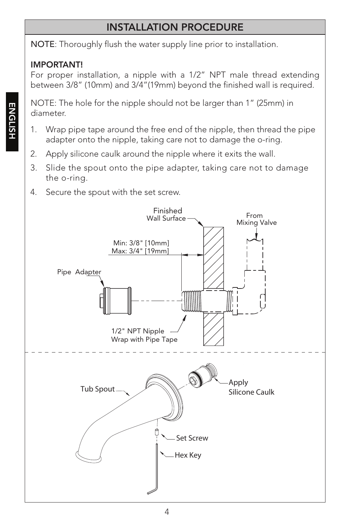# INSTALLATION PROCEDURE

NOTE: Thoroughly flush the water supply line prior to installation.

#### IMPORTANT!

For proper installation, a nipple with a 1/2" NPT male thread extending between 3/8" (10mm) and 3/4"(19mm) beyond the finished wall is required.

NOTE: The hole for the nipple should not be larger than 1" (25mm) in diameter.

- 1. Wrap pipe tape around the free end of the nipple, then thread the pipe adapter onto the nipple, taking care not to damage the o-ring.
- 2. Apply silicone caulk around the nipple where it exits the wall.
- 3. Slide the spout onto the pipe adapter, taking care not to damage the o-ring.
- 4. Secure the spout with the set screw.

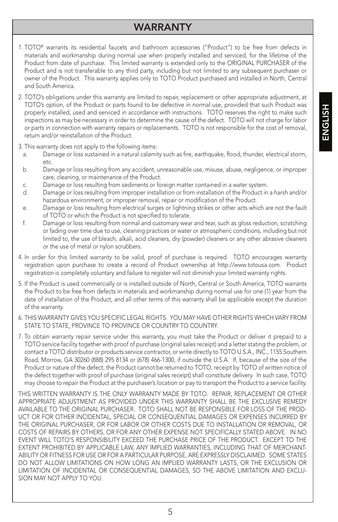# HSITONE ENGLISH

#### WARRANTY

- 1. TOTO® warrants its residential faucets and bathroom accessories ("Product") to be free from defects in materials and workmanship during normal use when properly installed and serviced, for the lifetime of the Product from date of purchase. This limited warranty is extended only to the ORIGINAL PURCHASER of the Product and is not transferable to any third party, including but not limited to any subsequent purchaser or owner of the Product. This warranty applies only to TOTO Product purchased and installed in North, Central and South America.
- 2. TOTO's obligations under this warranty are limited to repair, replacement or other appropriate adjustment, at TOTO's option, of the Product or parts found to be defective in normal use, provided that such Product was properly installed, used and serviced in accordance with instructions. TOTO reserves the right to make such inspections as may be necessary in order to determine the cause of the defect. TOTO will not charge for labor or parts in connection with warranty repairs or replacements. TOTO is not responsible for the cost of removal, return and/or reinstallation of the Product.
- 3. This warranty does not apply to the following items:
	- a. Damage or loss sustained in a natural calamity such as fire, earthquake, flood, thunder, electrical storm, etc.
	- b. Damage or loss resulting from any accident, unreasonable use, misuse, abuse, negligence, or improper care, cleaning, or maintenance of the Product.
	- c. Damage or loss resulting from sediments or foreign matter contained in a water system.
	- d. Damage or loss resulting from improper installation or from installation of the Product in a harsh and/or hazardous environment, or improper removal, repair or modification of the Product.
	- e. Damage or loss resulting from electrical surges or lightning strikes or other acts which are not the fault of TOTO or which the Product is not specified to tolerate.
	- f. Damage or loss resulting from normal and customary wear and tear, such as gloss reduction, scratching or fading over time due to use, cleaning practices or water or atmospheric conditions, including but not limited to, the use of bleach, alkali, acid cleaners, dry (powder) cleaners or any other abrasive cleaners or the use of metal or nylon scrubbers.
- 4. In order for this limited warranty to be valid, proof of purchase is required. TOTO encourages warranty registration upon purchase to create a record of Product ownership at http://www.totousa.com. Product registration is completely voluntary and failure to register will not diminish your limited warranty rights.
- 5. If the Product is used commercially or is installed outside of North, Central or South America, TOTO warrants the Product to be free from defects in materials and workmanship during normal use for one (1) year from the date of installation of the Product, and all other terms of this warranty shall be applicable except the duration of the warranty.
- 6. THIS WARRANTY GIVES YOU SPECIFIC LEGAL RIGHTS. YOU MAY HAVE OTHER RIGHTS WHICH VARY FROM STATE TO STATE, PROVINCE TO PROVINCE OR COUNTRY TO COUNTRY.
- 7. To obtain warranty repair service under this warranty, you must take the Product or deliver it prepaid to a TOTO service facility together with proof of purchase (original sales receipt) and a letter stating the problem, or contact a TOTO distributor or products service contractor, or write directly to TOTO U.S.A., INC., 1155 Southern Road, Morrow, GA 30260 (888) 295 8134 or (678) 466-1300, if outside the U.S.A. If, because of the size of the Product or nature of the defect, the Product cannot be returned to TOTO, receipt by TOTO of written notice of the defect together with proof of purchase (original sales receipt) shall constitute delivery. In such case, TOTO may choose to repair the Product at the purchaser's location or pay to transport the Product to a service facility.

THIS WRITTEN WARRANTY IS THE ONLY WARRANTY MADE BY TOTO. REPAIR, REPLACEMENT OR OTHER APPROPRIATE ADJUSTMENT AS PROVIDED UNDER THIS WARRANTY SHALL BE THE EXCLUSIVE REMEDY AVAILABLE TO THE ORIGINAL PURCHASER. TOTO SHALL NOT BE RESPONSIBLE FOR LOSS OF THE PROD-UCT OR FOR OTHER INCIDENTAL, SPECIAL OR CONSEQUENTIAL DAMAGES OR EXPENSES INCURRED BY THE ORIGINAL PURCHASER, OR FOR LABOR OR OTHER COSTS DUE TO INSTALLATION OR REMOVAL, OR COSTS OF REPAIRS BY OTHERS, OR FOR ANY OTHER EXPENSE NOT SPECIFICALLY STATED ABOVE. IN NO EVENT WILL TOTO'S RESPONSIBILITY EXCEED THE PURCHASE PRICE OF THE PRODUCT. EXCEPT TO THE EXTENT PROHIBITED BY APPLICABLE LAW, ANY IMPLIED WARRANTIES, INCLUDING THAT OF MERCHANT-ABILITY OR FITNESS FOR USE OR FOR A PARTICULAR PURPOSE, ARE EXPRESSLY DISCLAIMED. SOME STATES DO NOT ALLOW LIMITATIONS ON HOW LONG AN IMPLIED WARRANTY LASTS, OR THE EXCLUSION OR LIMITATION OF INCIDENTAL OR CONSEQUENTIAL DAMAGES, SO THE ABOVE LIMITATION AND EXCLU-SION MAY NOT APPLY TO YOU.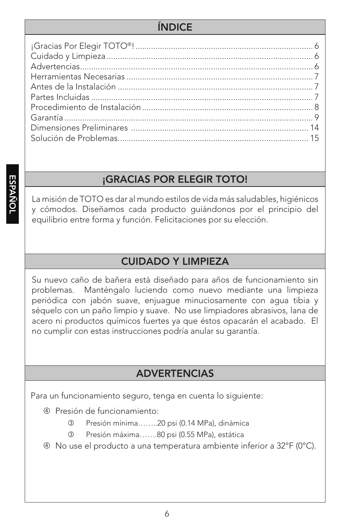## ÍNDICE

## ¡GRACIAS POR ELEGIR TOTO!

La misión de TOTO es dar al mundo estilos de vida más saludables, higiénicos y cómodos. Diseñamos cada producto guiándonos por el principio del equilibrio entre forma y función. Felicitaciones por su elección.

## CUIDADO Y LIMPIEZA

Su nuevo caño de bañera está diseñado para años de funcionamiento sin problemas. Manténgalo luciendo como nuevo mediante una limpieza periódica con jabón suave, enjuague minuciosamente con agua tibia y séquelo con un paño limpio y suave. No use limpiadores abrasivos, lana de acero ni productos químicos fuertes ya que éstos opacarán el acabado. El no cumplir con estas instrucciones podría anular su garantía.

#### ADVERTENCIAS

Para un funcionamiento seguro, tenga en cuenta lo siguiente:

- Presión de funcionamiento:
	- Presión mínima……..20 psi (0.14 MPa), dinámica
	- Presión máxima…….80 psi (0.55 MPa), estática
- No use el producto a una temperatura ambiente inferior a 32°F (0°C).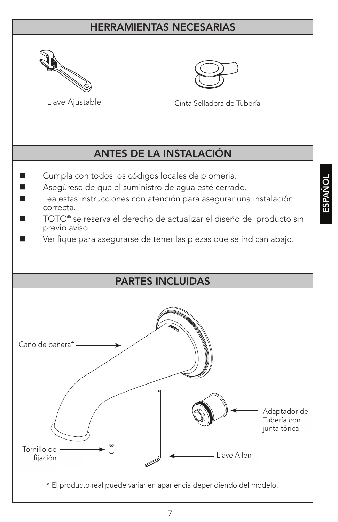#### HERRAMIENTAS NECESARIAS





Llave Ajustable Cinta Selladora de Tubería

## ANTES DE LA INSTALACIÓN

- Cumpla con todos los códigos locales de plomería.
- Asegúrese de que el suministro de agua esté cerrado.
- Lea estas instrucciones con atención para asegurar una instalación correcta.
- TOTO® se reserva el derecho de actualizar el diseño del producto sin previo aviso.
- Verifique para asegurarse de tener las piezas que se indican abajo.

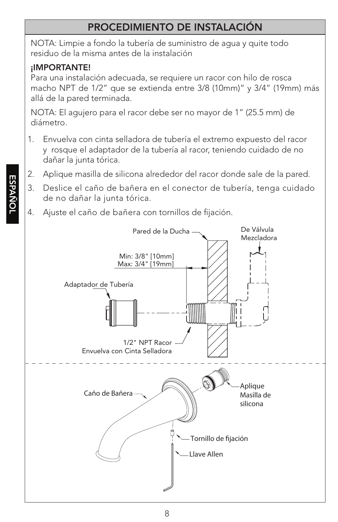# PROCEDIMIENTO DE INSTALACIÓN

NOTA: Limpie a fondo la tubería de suministro de agua y quite todo residuo de la misma antes de la instalación

#### ¡IMPORTANTE!

Para una instalación adecuada, se requiere un racor con hilo de rosca macho NPT de 1/2" que se extienda entre 3/8 (10mm)" y 3/4" (19mm) más allá de la pared terminada.

NOTA: El agujero para el racor debe ser no mayor de 1" (25.5 mm) de diámetro.

- 1. Envuelva con cinta selladora de tubería el extremo expuesto del racor y rosque el adaptador de la tubería al racor, teniendo cuidado de no dañar la junta tórica.
- 2. Aplique masilla de silicona alrededor del racor donde sale de la pared.
- 3. Deslice el caño de bañera en el conector de tubería, tenga cuidado de no dañar la junta tórica.
- 4. Ajuste el caño de bañera con tornillos de fijación.

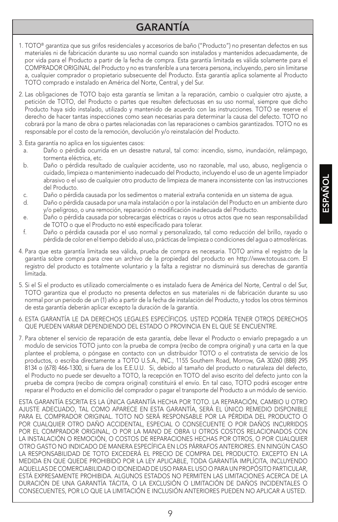# GARANTÍA

- 1. TOTO® garantiza que sus grifos residenciales y accesorios de baño ("Producto") no presentan defectos en sus materiales ni de fabricación durante su uso normal cuando son instalados y mantenidos adecuadamente, de por vida para el Producto a partir de la fecha de compra. Esta garantía limitada es válida solamente para el COMPRADOR ORIGINAL del Producto y no es transferible a una tercera persona, incluyendo, pero sin limitarse a, cualquier comprador o propietario subsecuente del Producto. Esta garantía aplica solamente al Producto TOTO comprado e instalado en América del Norte, Central, y del Sur.
- 2. Las obligaciones de TOTO bajo esta garantía se limitan a la reparación, cambio o cualquier otro ajuste, a petición de TOTO, del Producto o partes que resulten defectuosas en su uso normal, siempre que dicho Producto haya sido instalado, utilizado y mantenido de acuerdo con las instrucciones. TOTO se reserve el derecho de hacer tantas inspecciones como sean necesarias para determinar la causa del defecto. TOTO no cobrará por la mano de obra o partes relacionadas con las reparaciones o cambios garantizados. TOTO no es responsable por el costo de la remoción, devolución y/o reinstalación del Producto.
- 3. Esta garantía no aplica en los siguientes casos:
	- a. Daño o pérdida ocurrida en un desastre natural, tal como: incendio, sismo, inundación, relámpago, tormenta eléctrica, etc.
	- b. Daño o pérdida resultado de cualquier accidente, uso no razonable, mal uso, abuso, negligencia o cuidado, limpieza o mantenimiento inadecuado del Producto, incluyendo el uso de un agente limpiador abrasivo o el uso de cualquier otro producto de limpieza de manera inconsistente con las instrucciones del Producto.
	- c. Daño o pérdida causada por los sedimentos o material extraña contenida en un sistema de agua.
	- d. Daño o pérdida causada por una mala instalación o por la instalación del Producto en un ambiente duro y/o peligroso, o una remoción, reparación o modificación inadecuada del Producto.
	- e. Daño o pérdida causada por sobrecargas eléctricas o rayos u otros actos que no sean responsabilidad de TOTO o que el Producto no esté especificado para tolerar.
	- f. Daño o pérdida causada por el uso normal y personalizado, tal como reducción del brillo, rayado o pérdida de color en el tiempo debido al uso, prácticas de limpieza o condiciones del agua o atmosféricas.
- 4. Para que esta garantía limitada sea válida, prueba de compra es necesaria. TOTO anima el registro de la garantía sobre compra para cree un archivo de la propiedad del producto en http://www.totousa.com. El registro del producto es totalmente voluntario y la falta a registrar no disminuirá sus derechas de garantía limitada.
- 5. Si el Si el producto es utilizado comercialmente o es instalado fuera de América del Norte, Central o del Sur, TOTO garantiza que el producto no presenta defectos en sus materiales ni de fabricación durante su uso normal por un periodo de un (1) año a partir de la fecha de instalación del Producto, y todos los otros términos de esta garantía deberán aplicar excepto la duración de la garantía.
- 6. ESTA GARANTÍA LE DA DERECHOS LEGALES ESPECÍFICOS. USTED PODRÍA TENER OTROS DERECHOS QUE PUEDEN VARIAR DEPENDIENDO DEL ESTADO O PROVINCIA EN EL QUE SE ENCUENTRE.
- 7. Para obtener el servicio de reparación de esta garantía, debe llevar el Producto o enviarlo prepagado a un modulo de servicios TOTO junto con la prueba de compra (recibo de compra original) y una carta en la que plantee el problema, o póngase en contacto con un distribuidor TOTO o el contratista de servicio de los productos, o escriba directamente a TOTO U.S.A., INC., 1155 Southern Road, Morrow, GA 30260 (888) 295 8134 o (678) 466-1300, si fuera de los E.E.U.U. Si, debido al tamaño del producto o naturaleza del defecto, el Producto no puede ser devuelto a TOTO, la recepción en TOTO del aviso escrito del defecto junto con la prueba de compra (recibo de compra original) constituirá el envío. En tal caso, TOTO podrá escoger entre reparar el Producto en el domicilio del comprador o pagar el transporte del Producto a un módulo de servicio.

ESTA GARANTÍA ESCRITA ES LA ÚNICA GARANTÍA HECHA POR TOTO. LA REPARACIÓN, CAMBIO U OTRO AJUSTE ADECUADO, TAL COMO APARECE EN ESTA GARANTÍA, SERÁ EL ÚNICO REMEDIO DISPONIBLE PARA EL COMPRADOR ORIGINAL. TOTO NO SERÁ RESPONSABLE POR LA PÉRDIDA DEL PRODUCTO O POR CUALQUIER OTRO DAÑO ACCIDENTAL, ESPECIAL O CONSECUENTE O POR DAÑOS INCURRIDOS POR EL COMPRADOR ORIGINAL, O POR LA MANO DE OBRA U OTROS COSTOS RELACIONADOS CON LA INSTALACIÓN O REMOCIÓN, O COSTOS DE REPARACIONES HECHAS POR OTROS, O POR CUALQUIER OTRO GASTO NO INDICADO DE MANERA ESPECÍFICA EN LOS PÁRRAFOS ANTERIORES. EN NINGÚN CASO LA RESPONSABILIDAD DE TOTO EXCEDERÁ EL PRECIO DE COMPRA DEL PRODUCTO. EXCEPTO EN LA MEDIDA EN QUE QUEDE PROHIBIDO POR LA LEY APLICABLE, TODA GARANTÍA IMPLÍCITA, INCLUYENDO AQUELLAS DE COMERCIABILIDAD O IDONEIDAD DE USO PARA EL USO O PARA UN PROPÓSITO PARTICULAR, ESTÁ EXPRESAMENTE PROHIBIDA. ALGUNOS ESTADOS NO PERMITEN LAS LIMITACIONES ACERCA DE LA DURACIÓN DE UNA GARANTÍA TÁCITA, O LA EXCLUSIÓN O LIMITACIÓN DE DAÑOS INCIDENTALES O CONSECUENTES, POR LO QUE LA LIMITACIÓN E INCLUSIÓN ANTERIORES PUEDEN NO APLICAR A USTED.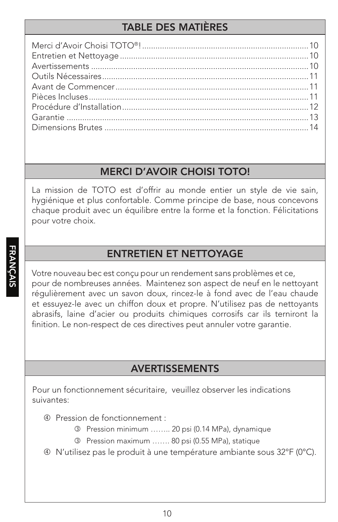# TABLE DES MATIÈRES

#### MERCI D'AVOIR CHOISI TOTO!

La mission de TOTO est d'offrir au monde entier un style de vie sain, hygiénique et plus confortable. Comme principe de base, nous concevons chaque produit avec un équilibre entre la forme et la fonction. Félicitations pour votre choix.

## ENTRETIEN ET NETTOYAGE

Votre nouveau bec est conçu pour un rendement sans problèmes et ce, pour de nombreuses années. Maintenez son aspect de neuf en le nettoyant régulièrement avec un savon doux, rincez-le à fond avec de l'eau chaude et essuyez-le avec un chiffon doux et propre. N'utilisez pas de nettoyants abrasifs, laine d'acier ou produits chimiques corrosifs car ils terniront la finition. Le non-respect de ces directives peut annuler votre garantie.

#### AVERTISSEMENTS

Pour un fonctionnement sécuritaire, veuillez observer les indications suivantes:

- Pression de fonctionnement :
	- Pression minimum …….. 20 psi (0.14 MPa), dynamique
	- Pression maximum ……. 80 psi (0.55 MPa), statique
- N'utilisez pas le produit à une température ambiante sous 32°F (0°C).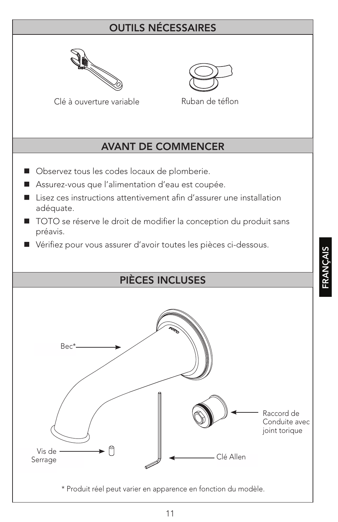# OUTILS NÉCESSAIRES





Clé à ouverture variable Ruban de téflon

# AVANT DE COMMENCER

- Observez tous les codes locaux de plomberie.
- Assurez-vous que l'alimentation d'eau est coupée.
- Lisez ces instructions attentivement afin d'assurer une installation adéquate.
- TOTO se réserve le droit de modifier la conception du produit sans préavis.
- Vérifiez pour vous assurer d'avoir toutes les pièces ci-dessous.

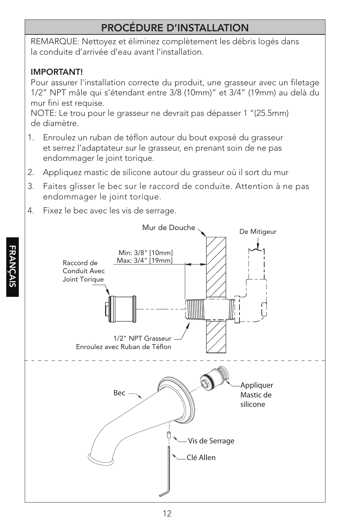# PROCÉDURE D'INSTALLATION

REMARQUE: Nettoyez et éliminez complètement les débris logés dans la conduite d'arrivée d'eau avant l'installation.

#### IMPORTANT!

Pour assurer l'installation correcte du produit, une grasseur avec un filetage 1/2" NPT mâle qui s'étendant entre 3/8 (10mm)" et 3/4" (19mm) au delà du mur fini est requise.

NOTE: Le trou pour le grasseur ne devrait pas dépasser 1 "(25.5mm) de diamètre.

- 1. Enroulez un ruban de téflon autour du bout exposé du grasseur et serrez l'adaptateur sur le grasseur, en prenant soin de ne pas endommager le joint torique.
- 2. Appliquez mastic de silicone autour du grasseur où il sort du mur
- 3. Faites glisser le bec sur le raccord de conduite. Attention à ne pas endommager le joint torique.
- 4. Fixez le bec avec les vis de serrage.

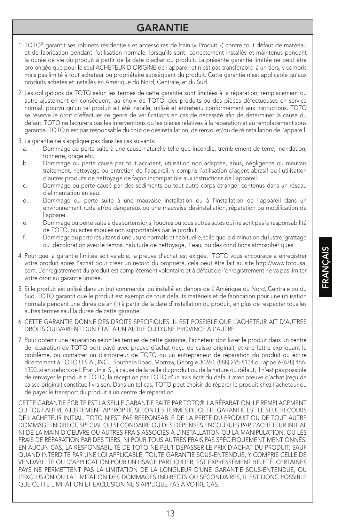#### GARANTIE

- 1. TOTO® garantit ses robinets résidentiels et accessoires de bain (« Produit ») contre tout défaut de matériau et de fabrication pendant l'utilisation normale, lorsqu`ils sont correctement installés et maintenus pendant la durée de vie du produit à partir de la date d`achat du produit. La présente garantie limitée ne peut être prolongée que pour le seul ACHETEUR D`ORIGINE de l`appareil et n`est pas transférable à un tiers, y compris mais pas limité à tout acheteur ou propriétaire subséquent du produit. Cette garantie n'est applicable qu'aux produits achetés et installés en Amérique du Nord, Centrale, et du Sud.
- 2. Les obligations de TOTO selon les termes de cette garantie sont limitées à la réparation, remplacement ou autre ajustement en conséquent, au choix de TOTO, des produits ou des pièces défectueuses en service normal, pourvu qu'un tel produit ait été installé, utilisé et entretenu conformément aux instructions. TOTO se réserve le droit d`effectuer ce genre de vérifications en cas de nécessité afin de déterminer la cause du défaut. TOTO ne facturera pas les interventions ou les pièces relatives à la réparation et au remplacement sous garantie. TOTO n`est pas responsable du coût de désinstallation, de renvoi et/ou de réinstallation de l`appareil.
- 3. La garantie ne s`applique pas dans les cas suivants:
	- a. Dommage ou perte suite à une cause naturelle telle que incendie, tremblement de terre, inondation, tonnerre, orage etc.
	- b. Dommage ou perte causé par tout accident, utilisation non adaptée, abus, négligence ou mauvais traitement, nettoyage ou entretien de l`appareil, y compris l`utilisation d`agent abrasif ou l`utilisation d`autres produits de nettoyage de façon incompatible aux instructions de l`appareil.
	- c. Dommage ou perte causé par des sédiments ou tout autre corps étranger contenus dans un réseau d`alimentation en eau.
	- d. Dommage ou perte suite à une mauvaise installation ou à l`installation de l`appareil dans un environnement rude et/ou dangereux ou une mauvaise désinstallation, réparation ou modification de l`appareil.
	- e. Dommage ou perte suite à des surtensions, foudres ou tous autres actes qui ne sont pas la responsabilité de TOTO, ou actes stipulés non supportables par le produit.
	- f. Dommage ou perte résultant d`une usure normale et habituelle, telle que la diminution du lustre, grattage ou décoloration avec le temps, habitude de nettoyage, l`eau, ou des conditions atmosphériques.
- 4. Pour que la garantie limitée soit valable, la preuve d'achat est exigée. TOTO vous encourage à enregistrer votre produit après l'achat pour créer un record du propriété, cela peut être fait au site http://www.totousa. com. L'enregistrement du produit est complètement volontaire et à défaut de l'enregistrement ne va pas limiter votre droit au garantie limitée.
- 5. Si le produit est utilisé dans un but commercial ou installé en dehors de L`Amérique du Nord, Centrale ou du Sud, TOTO garantit que le produit est exempt de tous défauts matériels et de fabrication pour une utilisation normale pendant une durée de an (1) à partir de la date d`installation du produit, en plus de respecter tous les autres termes sauf la durée de cette garantie.
- 6. CETTE GARANTIE DONNE DES DROITS SPÉCIFIQUES. IL EST POSSIBLE QUE L'ACHETEUR AIT D'AUTRES DROITS QUI VARIENT DUN ÉTAT A UN AUTRE OU D'UNE PROVINCE À L'AUTRE.
- 7. Pour obtenir une réparation selon les termes de cette garantie, l'acheteur doit livrer le produit dans un centre de réparation de TOTO port payé avec preuve d'achat (reçu de caisse original), et une lettre expliquant le problème, ou contacter un distributeur de TOTO ou un entrepreneur de réparation du produit ou écrire directement à TOTO U.S.A., INC., Southern Road, Morrow, Géorgie 30260, (888) 295-8134 ou appelé (678) 466- 1300, si en dehors de L'Etat Unis. Si, à cause de la taille du produit ou de la nature du défaut, il n'est pas possible de renvoyer le produit à TOTO, la réception par TOTO d'un avis écrit du défaut avec preuve d'achat (reçu de caisse original) constitue livraison. Dans un tel cas, TOTO peut choisir de réparer le produit chez l'acheteur ou de payer le transport du produit à un centre de réparation.

CETTE GARANTIE ÉCRITE EST LA SEULE GARANTIE FAITE PAR TOTO®. LA RÉPARATION, LE REMPLACEMENT OU TOUT AUTRE AJUSTEMENT APPROPRIÉ SELON LES TERMES DE CETTE GARANTIE EST LE SEUL RECOURS DE L'ACHETEUR INITIAL. TOTO N'EST PAS RESPONSABLE DE LA PERTE DU PRODUIT OU DE TOUT AUTRE DOMMAGE INDIRECT, SPÉCIAL OU SECONDAIRE OU DES DÉPENSES ENCOURUES PAR L'ACHETEUR INITIAL NI DE LA MAIN-D'OEUVRE OU AUTRES FRAIS ASSOCIÉS À L'INSTALLATION OU LA MANIPULATION, OU LES FRAIS DE RÉPARATION PAR DES TIERS, NI POUR TOUS AUTRES FRAIS PAS SPÉCIFIQUEMENT MENTIONNÉS. EN AUCUN CAS, LA RESPONSABILITÉ DE TOTO NE PEUT DÉPASSER LE PRIX D'ACHAT DU PRODUIT. SAUF QUAND INTERDITE PAR UNE LOI APPLICABLE, TOUTE GARANTIE SOUS-ENTENDUE, Y COMPRIS CELLE DE VENDABILITÉ OU D'APPLICATION POUR UN USAGE PARTICULIER, EST EXPRESSÉMENT REJETÉ. CERTAINES PAYS NE PERMETTENT PAS LA LIMITATION DE LA LONGUEUR D'UNE GARANTIE SOUS-ENTENDUE, OU L'EXCLUSION OU LA LIMITATION DES DOMMAGES INDIRECTS OU SECONDAIRES, IL EST DONC POSSIBLE QUE CETTE LIMITATION ET EXCLUSION NE S'APPLIQUE PAS À VOTRE CAS.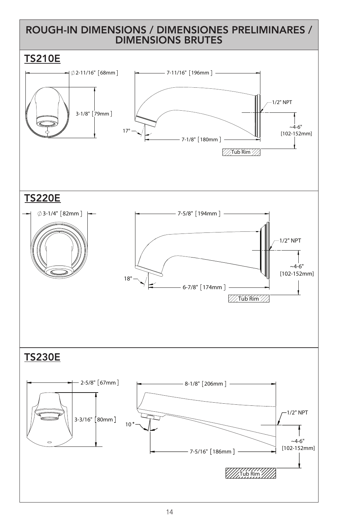#### ROUGH-IN DIMENSIONS / DIMENSIONES PRELIMINARES / DIMENSIONS BRUTES